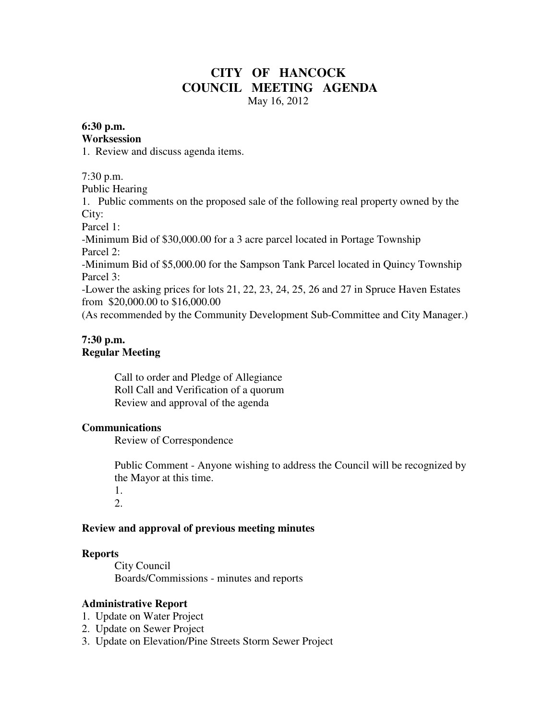# **CITY OF HANCOCK COUNCIL MEETING AGENDA**  May 16, 2012

#### **6:30 p.m.**

#### **Worksession**

1. Review and discuss agenda items.

7:30 p.m.

Public Hearing

1. Public comments on the proposed sale of the following real property owned by the City:

Parcel 1:

-Minimum Bid of \$30,000.00 for a 3 acre parcel located in Portage Township Parcel 2:

-Minimum Bid of \$5,000.00 for the Sampson Tank Parcel located in Quincy Township Parcel 3:

-Lower the asking prices for lots 21, 22, 23, 24, 25, 26 and 27 in Spruce Haven Estates from \$20,000.00 to \$16,000.00

(As recommended by the Community Development Sub-Committee and City Manager.)

#### **7:30 p.m. Regular Meeting**

 Call to order and Pledge of Allegiance Roll Call and Verification of a quorum Review and approval of the agenda

## **Communications**

Review of Correspondence

 Public Comment - Anyone wishing to address the Council will be recognized by the Mayor at this time.

 1. 2.

## **Review and approval of previous meeting minutes**

#### **Reports**

City Council Boards/Commissions - minutes and reports

## **Administrative Report**

- 1. Update on Water Project
- 2. Update on Sewer Project
- 3. Update on Elevation/Pine Streets Storm Sewer Project